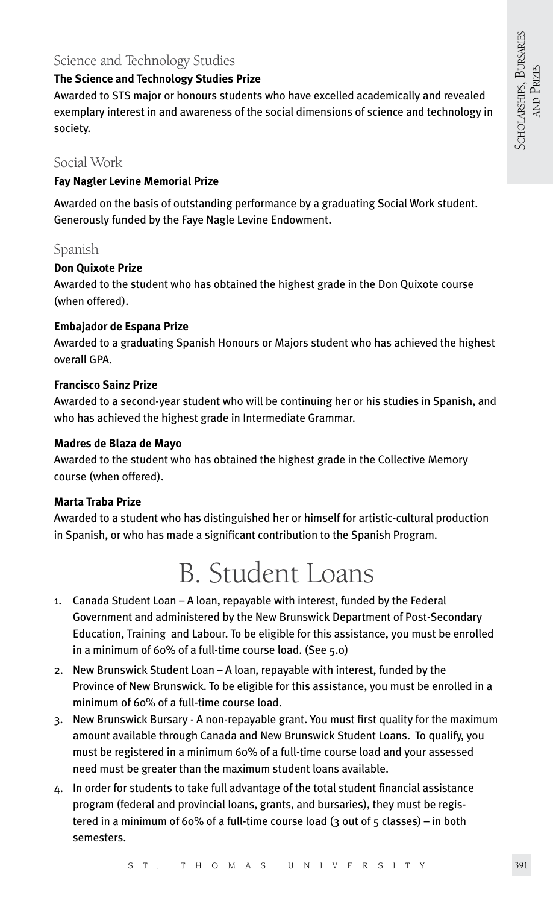### Science and Technology Studies

#### **The Science and Technology Studies Prize**

Awarded to STS major or honours students who have excelled academically and revealed exemplary interest in and awareness of the social dimensions of science and technology in society.

### Social Work

#### **Fay Nagler Levine Memorial Prize**

Awarded on the basis of outstanding performance by a graduating Social Work student. Generously funded by the Faye Nagle Levine Endowment.

#### Spanish

#### **Don Quixote Prize**

Awarded to the student who has obtained the highest grade in the Don Quixote course (when offered).

#### **Embajador de Espana Prize**

Awarded to a graduating Spanish Honours or Majors student who has achieved the highest overall GPA.

#### **Francisco Sainz Prize**

Awarded to a second-year student who will be continuing her or his studies in Spanish, and who has achieved the highest grade in Intermediate Grammar.

#### **Madres de Blaza de Mayo**

Awarded to the student who has obtained the highest grade in the Collective Memory course (when offered).

#### **Marta Traba Prize**

Awarded to a student who has distinguished her or himself for artistic-cultural production in Spanish, or who has made a significant contribution to the Spanish Program.

## B. Student Loans

- 1. Canada Student Loan A loan, repayable with interest, funded by the Federal Government and administered by the New Brunswick Department of Post-Secondary Education, Training and Labour. To be eligible for this assistance, you must be enrolled in a minimum of 60% of a full-time course load. (See 5.0)
- 2. New Brunswick Student Loan A loan, repayable with interest, funded by the Province of New Brunswick. To be eligible for this assistance, you must be enrolled in a minimum of 60% of a full-time course load.
- 3. New Brunswick Bursary A non-repayable grant. You must first quality for the maximum amount available through Canada and New Brunswick Student Loans. To qualify, you must be registered in a minimum 60% of a full-time course load and your assessed need must be greater than the maximum student loans available.
- 4. In order for students to take full advantage of the total student financial assistance program (federal and provincial loans, grants, and bursaries), they must be registered in a minimum of 60% of a full-time course load (3 out of 5 classes) – in both semesters.